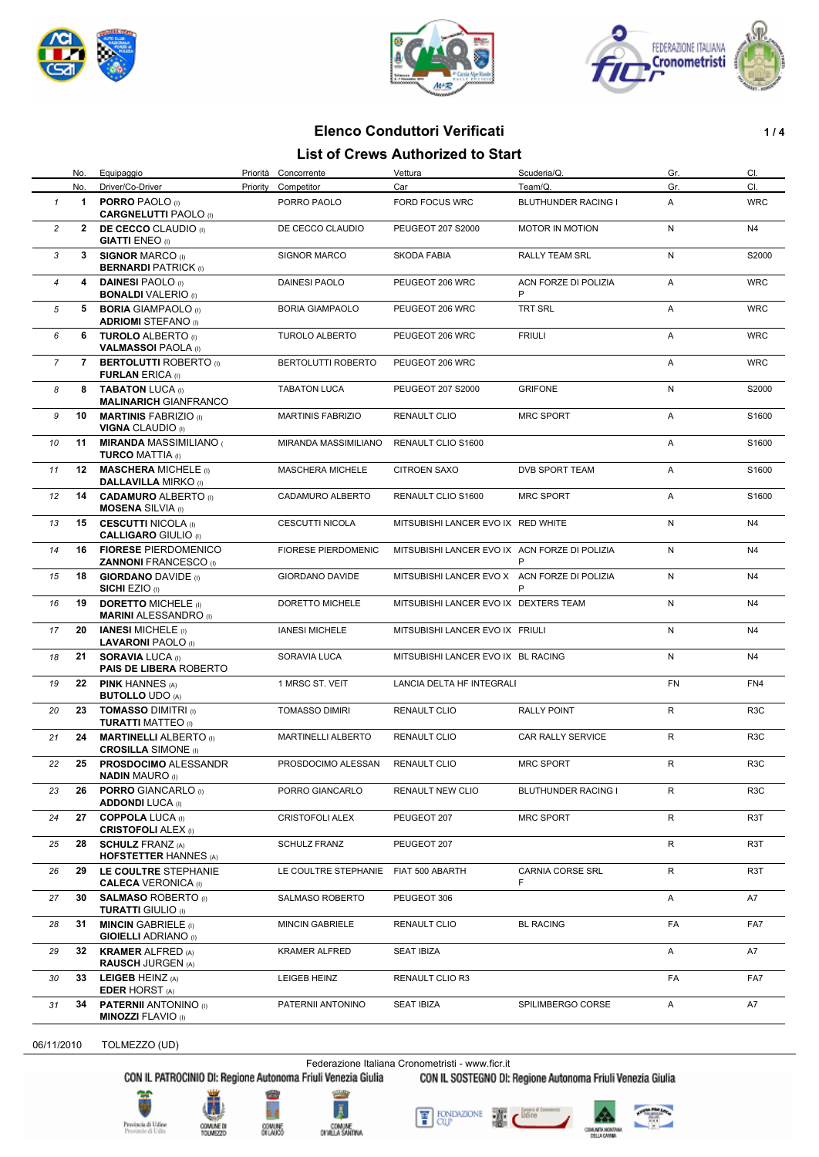





## **Elenco Conduttori Verificati 1/4**

## **List of Crews Authorized to Start**

|                | No.          | Equipaggio                                                  | Priorità | Concorrente                          | Vettura                                       | Scuderia/Q.               | Gr.       | CI.              |
|----------------|--------------|-------------------------------------------------------------|----------|--------------------------------------|-----------------------------------------------|---------------------------|-----------|------------------|
|                | No.          | Driver/Co-Driver                                            | Priority | Competitor                           | Car                                           | Team/Q.                   | Gr.       | CI.              |
| $\mathbf{1}$   | $\mathbf{1}$ | <b>PORRO PAOLO</b> (I)<br><b>CARGNELUTTI PAOLO</b> (I)      |          | PORRO PAOLO                          | <b>FORD FOCUS WRC</b>                         | BLUTHUNDER RACING I       | A         | <b>WRC</b>       |
| $\overline{c}$ |              | 2 DE CECCO CLAUDIO (I)<br><b>GIATTI ENEO</b> (I)            |          | DE CECCO CLAUDIO                     | PEUGEOT 207 S2000                             | <b>MOTOR IN MOTION</b>    | N         | N <sub>4</sub>   |
| 3              |              | 3 SIGNOR MARCO (i)<br><b>BERNARDI PATRICK (I)</b>           |          | <b>SIGNOR MARCO</b>                  | SKODA FABIA                                   | <b>RALLY TEAM SRL</b>     | N         | S2000            |
| $\overline{4}$ |              | 4 DAINESI PAOLO (I)<br><b>BONALDI</b> VALERIO (I)           |          | <b>DAINESI PAOLO</b>                 | PEUGEOT 206 WRC                               | ACN FORZE DI POLIZIA<br>P | Α         | <b>WRC</b>       |
| 5              |              | 5 BORIA GIAMPAOLO (I)<br><b>ADRIOMI STEFANO</b> (I)         |          | <b>BORIA GIAMPAOLO</b>               | PEUGEOT 206 WRC                               | <b>TRT SRL</b>            | Α         | <b>WRC</b>       |
| 6              |              | 6 TUROLO ALBERTO (i)<br><b>VALMASSOI PAOLA (I)</b>          |          | <b>TUROLO ALBERTO</b>                | PEUGEOT 206 WRC                               | <b>FRIULI</b>             | A         | <b>WRC</b>       |
| $\overline{7}$ |              | 7 BERTOLUTTI ROBERTO (I)<br><b>FURLAN ERICA (I)</b>         |          | BERTOLUTTI ROBERTO                   | PEUGEOT 206 WRC                               |                           | Α         | <b>WRC</b>       |
| 8              |              | 8 TABATON LUCA (I)<br><b>MALINARICH GIANFRANCO</b>          |          | <b>TABATON LUCA</b>                  | PEUGEOT 207 S2000                             | <b>GRIFONE</b>            | N         | S2000            |
| 9              | 10           | <b>MARTINIS FABRIZIO (I)</b><br><b>VIGNA CLAUDIO</b> (I)    |          | <b>MARTINIS FABRIZIO</b>             | <b>RENAULT CLIO</b>                           | <b>MRC SPORT</b>          | A         | S1600            |
| 10             | 11           | <b>MIRANDA MASSIMILIANO</b><br><b>TURCO MATTIA (I)</b>      |          | MIRANDA MASSIMILIANO                 | RENAULT CLIO S1600                            |                           | A         | S1600            |
| 11             | 12           | <b>MASCHERA MICHELE (I)</b><br><b>DALLAVILLA MIRKO</b> (I)  |          | MASCHERA MICHELE                     | <b>CITROEN SAXO</b>                           | DVB SPORT TEAM            | A         | S1600            |
| 12             | 14           | <b>CADAMURO ALBERTO</b> (I)<br><b>MOSENA</b> SILVIA (I)     |          | CADAMURO ALBERTO                     | RENAULT CLIO S1600                            | <b>MRC SPORT</b>          | A         | S1600            |
| 13             | 15           | <b>CESCUTTI NICOLA</b> (I)<br><b>CALLIGARO GIULIO</b> (I)   |          | <b>CESCUTTI NICOLA</b>               | MITSUBISHI LANCER EVO IX RED WHITE            |                           | N         | N4               |
| 14             | 16           | <b>FIORESE PIERDOMENICO</b><br><b>ZANNONI FRANCESCO (I)</b> |          | <b>FIORESE PIERDOMENIC</b>           | MITSUBISHI LANCER EVO IX ACN FORZE DI POLIZIA | P                         | N         | N <sub>4</sub>   |
| 15             | 18           | <b>GIORDANO DAVIDE</b> (i)<br><b>SICHI EZIO</b> (I)         |          | GIORDANO DAVIDE                      | MITSUBISHI LANCER EVO X ACN FORZE DI POLIZIA  | P                         | N         | N4               |
| 16             | 19           | <b>DORETTO MICHELE (i)</b><br><b>MARINI ALESSANDRO</b> (I)  |          | DORETTO MICHELE                      | MITSUBISHI LANCER EVO IX DEXTERS TEAM         |                           | N         | N4               |
| 17             | 20           | <b>IANESI MICHELE</b> (I)<br><b>LAVARONI PAOLO</b> (I)      |          | <b>IANESI MICHELE</b>                | MITSUBISHI LANCER EVO IX FRIULI               |                           | N         | N4               |
| 18             | 21           | <b>SORAVIA LUCA (I)</b><br><b>PAIS DE LIBERA ROBERTO</b>    |          | SORAVIA LUCA                         | MITSUBISHI LANCER EVO IX BL RACING            |                           | N         | N4               |
| 19             | 22           | <b>PINK HANNES (A)</b><br><b>BUTOLLO UDO (A)</b>            |          | 1 MRSC ST. VEIT                      | LANCIA DELTA HF INTEGRALI                     |                           | <b>FN</b> | FN4              |
| 20             | 23           | <b>TOMASSO DIMITRI (I)</b><br><b>TURATTI MATTEO</b> (I)     |          | <b>TOMASSO DIMIRI</b>                | <b>RENAULT CLIO</b>                           | <b>RALLY POINT</b>        | R         | R <sub>3</sub> C |
| 21             | 24           | <b>MARTINELLI ALBERTO</b> (I)<br><b>CROSILLA SIMONE</b> (I) |          | <b>MARTINELLI ALBERTO</b>            | <b>RENAULT CLIO</b>                           | <b>CAR RALLY SERVICE</b>  | R         | R <sub>3</sub> C |
| 22             | 25           | <b>PROSDOCIMO ALESSANDR</b><br><b>NADIN MAURO (I)</b>       |          | PROSDOCIMO ALESSAN                   | <b>RENAULT CLIO</b>                           | <b>MRC SPORT</b>          | R         | R <sub>3</sub> C |
| 23             | 26           | <b>PORRO GIANCARLO (I)</b><br><b>ADDONDI LUCA (I)</b>       |          | PORRO GIANCARLO                      | RENAULT NEW CLIO                              | BLUTHUNDER RACING I       | R         | R <sub>3</sub> C |
| 24             | 27           | <b>COPPOLA LUCA</b> (I)<br><b>CRISTOFOLI ALEX (I)</b>       |          | <b>CRISTOFOLI ALEX</b>               | PEUGEOT 207                                   | <b>MRC SPORT</b>          | R         | R <sub>3</sub> T |
| 25             | 28           | <b>SCHULZ FRANZ (A)</b><br><b>HOFSTETTER HANNES (A)</b>     |          | <b>SCHULZ FRANZ</b>                  | PEUGEOT 207                                   |                           | R         | R3T              |
| 26             | 29           | LE COULTRE STEPHANIE<br><b>CALECA VERONICA (I)</b>          |          | LE COULTRE STEPHANIE FIAT 500 ABARTH |                                               | CARNIA CORSE SRL<br>F     | R         | R <sub>3</sub> T |
| 27             | 30           | <b>SALMASO ROBERTO</b> (I)<br><b>TURATTI GIULIO</b> (I)     |          | SALMASO ROBERTO                      | PEUGEOT 306                                   |                           | Α         | A7               |
| 28             | 31           | <b>MINCIN GABRIELE</b> (I)<br><b>GIOIELLI ADRIANO</b> (I)   |          | <b>MINCIN GABRIELE</b>               | RENAULT CLIO                                  | <b>BL RACING</b>          | FA        | FA7              |
| 29             | 32           | <b>KRAMER ALFRED (A)</b><br><b>RAUSCH JURGEN (A)</b>        |          | <b>KRAMER ALFRED</b>                 | <b>SEAT IBIZA</b>                             |                           | Α         | A7               |
| 30             | 33           | LEIGEB HEINZ (A)<br><b>EDER HORST (A)</b>                   |          | LEIGEB HEINZ                         | RENAULT CLIO R3                               |                           | FA        | FA7              |
| 31             | 34           | <b>PATERNII ANTONINO</b> (I)<br><b>MINOZZI FLAVIO</b> (I)   |          | PATERNII ANTONINO                    | SEAT IBIZA                                    | SPILIMBERGO CORSE         | Α         | A7               |

06/11/2010 TOLMEZZO (UD)

Ã

DIVILLA SANTINA

Federazione Italiana Cronometristi - www.ficr.it<br>CON IL PATROCINIO DI: Regione Autonoma Friuli Venezia Giulia CON IL SOSTEGNO DI: Regione Autonoma Friuli Venezia Giulia





COMUNE<br>DI LAUCO

COMUNE D





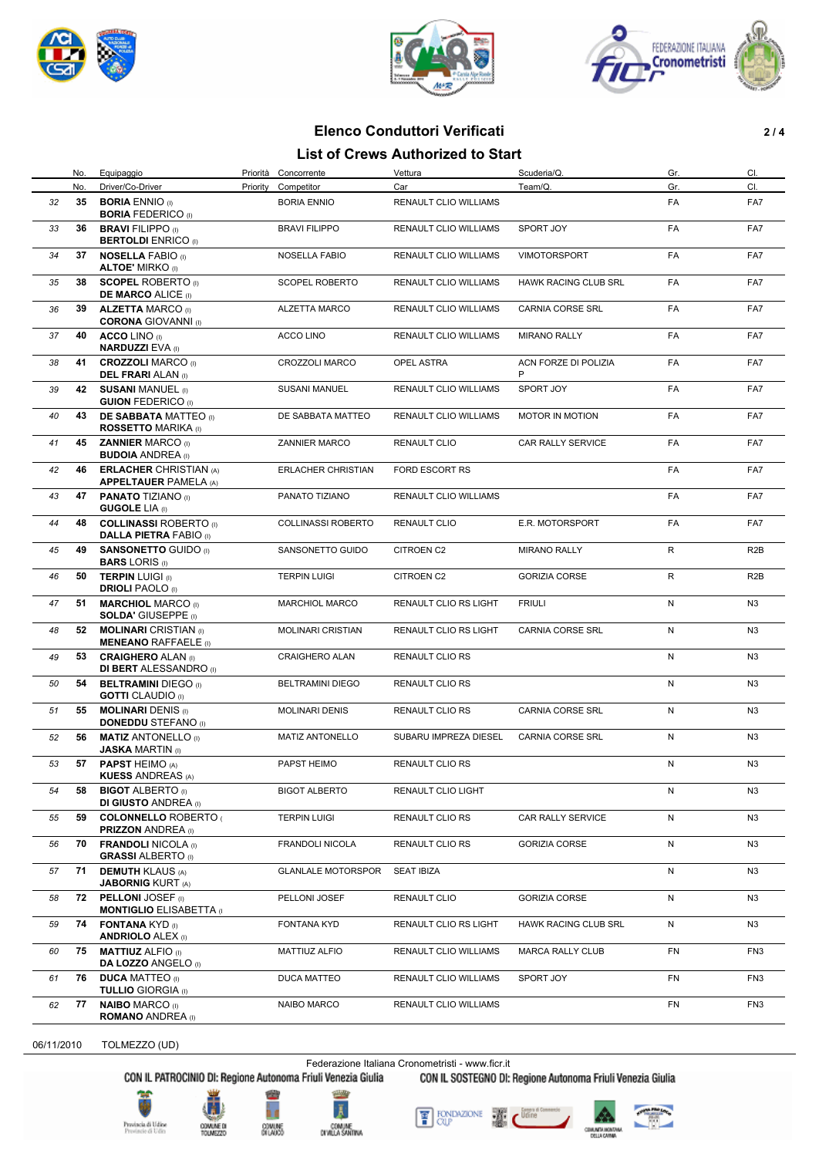





### **Elenco Conduttori Verificati 2 / 4**

## **List of Crews Authorized to Start**

|    |           |                                                                                   |          |                                  | LIST OF OPENS AUTHOLIZED TO OTHER   |                             |           |                  |
|----|-----------|-----------------------------------------------------------------------------------|----------|----------------------------------|-------------------------------------|-----------------------------|-----------|------------------|
|    | No.       | Equipaggio                                                                        |          | Priorità Concorrente             | Vettura                             | Scuderia/Q.                 | Gr.       | CI.              |
| 32 | No.<br>35 | Driver/Co-Driver<br><b>BORIA ENNIO (i)</b>                                        | Priority | Competitor<br><b>BORIA ENNIO</b> | Car<br><b>RENAULT CLIO WILLIAMS</b> | Team/Q.                     | Gr.<br>FA | CI.<br>FA7       |
| 33 | 36        | <b>BORIA FEDERICO</b> (I)<br><b>BRAVI FILIPPO</b> (i)                             |          | <b>BRAVI FILIPPO</b>             | RENAULT CLIO WILLIAMS               | <b>SPORT JOY</b>            | FA        | FA7              |
| 34 | 37        | <b>BERTOLDI</b> ENRICO (I)<br><b>NOSELLA FABIO</b> (i)<br><b>ALTOE' MIRKO</b> (I) |          | <b>NOSELLA FABIO</b>             | RENAULT CLIO WILLIAMS               | <b>VIMOTORSPORT</b>         | FA        | FA7              |
| 35 | 38        | <b>SCOPEL ROBERTO</b> (i)<br><b>DE MARCO ALICE (I)</b>                            |          | SCOPEL ROBERTO                   | RENAULT CLIO WILLIAMS               | HAWK RACING CLUB SRL        | FA        | FA7              |
| 36 | 39        | <b>ALZETTA MARCO (I)</b><br><b>CORONA GIOVANNI</b> (I)                            |          | ALZETTA MARCO                    | RENAULT CLIO WILLIAMS               | CARNIA CORSE SRL            | FA        | FA7              |
| 37 | 40        | <b>ACCO LINO</b> (i)<br><b>NARDUZZI EVA (I)</b>                                   |          | <b>ACCO LINO</b>                 | RENAULT CLIO WILLIAMS               | MIRANO RALLY                | FA        | FA7              |
| 38 | 41        | <b>CROZZOLI MARCO</b> (I)<br><b>DEL FRARI</b> ALAN (I)                            |          | <b>CROZZOLI MARCO</b>            | OPEL ASTRA                          | ACN FORZE DI POLIZIA<br>P   | FA        | FA7              |
| 39 | 42        | <b>SUSANI MANUEL (I)</b><br><b>GUION FEDERICO</b> (I)                             |          | <b>SUSANI MANUEL</b>             | RENAULT CLIO WILLIAMS               | SPORT JOY                   | FA        | FA7              |
| 40 | 43        | <b>DE SABBATA MATTEO</b> (I)<br><b>ROSSETTO MARIKA</b> (I)                        |          | DE SABBATA MATTEO                | RENAULT CLIO WILLIAMS               | MOTOR IN MOTION             | FA        | FA7              |
| 41 | 45        | <b>ZANNIER MARCO</b> (i)<br><b>BUDOIA ANDREA</b> (I)                              |          | <b>ZANNIER MARCO</b>             | <b>RENAULT CLIO</b>                 | CAR RALLY SERVICE           | FA        | FA7              |
| 42 | 46        | <b>ERLACHER CHRISTIAN (A)</b><br><b>APPELTAUER PAMELA (A)</b>                     |          | <b>ERLACHER CHRISTIAN</b>        | <b>FORD ESCORT RS</b>               |                             | FA        | FA7              |
| 43 | 47        | <b>PANATO TIZIANO (I)</b><br><b>GUGOLE LIA (I)</b>                                |          | PANATO TIZIANO                   | RENAULT CLIO WILLIAMS               |                             | FA        | FA7              |
| 44 | 48        | <b>COLLINASSI ROBERTO</b> (I)<br><b>DALLA PIETRA FABIO (I)</b>                    |          | <b>COLLINASSI ROBERTO</b>        | <b>RENAULT CLIO</b>                 | E.R. MOTORSPORT             | FA        | FA7              |
| 45 | 49        | <b>SANSONETTO GUIDO (I)</b><br><b>BARS LORIS</b> (I)                              |          | SANSONETTO GUIDO                 | CITROEN C2                          | <b>MIRANO RALLY</b>         | R         | R <sub>2</sub> B |
| 46 | 50        | <b>TERPIN LUIGI (i)</b><br><b>DRIOLI PAOLO</b> (I)                                |          | <b>TERPIN LUIGI</b>              | <b>CITROEN C2</b>                   | <b>GORIZIA CORSE</b>        | R         | R <sub>2</sub> B |
| 47 | 51        | <b>MARCHIOL MARCO (I)</b><br><b>SOLDA' GIUSEPPE</b> (I)                           |          | <b>MARCHIOL MARCO</b>            | RENAULT CLIO RS LIGHT               | <b>FRIULI</b>               | N         | N <sub>3</sub>   |
| 48 | 52        | <b>MOLINARI</b> CRISTIAN (I)<br><b>MENEANO RAFFAELE</b> (i)                       |          | <b>MOLINARI CRISTIAN</b>         | RENAULT CLIO RS LIGHT               | <b>CARNIA CORSE SRL</b>     | N         | N <sub>3</sub>   |
| 49 | 53        | <b>CRAIGHERO ALAN</b> (I)<br><b>DI BERT ALESSANDRO</b> (I)                        |          | <b>CRAIGHERO ALAN</b>            | <b>RENAULT CLIO RS</b>              |                             | N         | N3               |
| 50 | 54        | <b>BELTRAMINI DIEGO</b> (I)<br><b>GOTTI</b> CLAUDIO (I)                           |          | <b>BELTRAMINI DIEGO</b>          | RENAULT CLIO RS                     |                             | N         | N <sub>3</sub>   |
| 51 | 55        | <b>MOLINARI DENIS (i)</b><br><b>DONEDDU STEFANO</b> (I)                           |          | <b>MOLINARI DENIS</b>            | <b>RENAULT CLIO RS</b>              | <b>CARNIA CORSE SRL</b>     | N         | N3               |
| 52 | 56        | <b>MATIZ ANTONELLO</b> (i)<br><b>JASKA MARTIN</b> (I)                             |          | <b>MATIZ ANTONELLO</b>           | SUBARU IMPREZA DIESEL               | CARNIA CORSE SRL            | N         | N <sub>3</sub>   |
| 53 | 57        | <b>PAPST HEIMO (A)</b><br><b>KUESS ANDREAS (A)</b>                                |          | PAPST HEIMO                      | RENAULT CLIO RS                     |                             | N         | N <sub>3</sub>   |
| 54 | 58        | <b>BIGOT ALBERTO</b> (I)<br><b>DI GIUSTO ANDREA</b> (I)                           |          | <b>BIGOT ALBERTO</b>             | RENAULT CLIO LIGHT                  |                             | N         | N3               |
| 55 | 59        | <b>COLONNELLO ROBERTO (</b><br><b>PRIZZON ANDREA</b> (I)                          |          | <b>TERPIN LUIGI</b>              | <b>RENAULT CLIO RS</b>              | CAR RALLY SERVICE           | N         | N <sub>3</sub>   |
| 56 | 70        | <b>FRANDOLI NICOLA (I)</b><br><b>GRASSI ALBERTO</b> (I)                           |          | FRANDOLI NICOLA                  | RENAULT CLIO RS                     | <b>GORIZIA CORSE</b>        | N         | N <sub>3</sub>   |
| 57 | 71        | <b>DEMUTH KLAUS (A)</b><br><b>JABORNIG KURT (A)</b>                               |          | <b>GLANLALE MOTORSPOR</b>        | <b>SEAT IBIZA</b>                   |                             | N         | N3               |
| 58 | 72        | <b>PELLONI JOSEF</b> (i)<br><b>MONTIGLIO ELISABETTA</b> (1                        |          | PELLONI JOSEF                    | <b>RENAULT CLIO</b>                 | <b>GORIZIA CORSE</b>        | N         | N3               |
| 59 | 74        | <b>FONTANA KYD (I)</b><br><b>ANDRIOLO ALEX (I)</b>                                |          | FONTANA KYD                      | RENAULT CLIO RS LIGHT               | <b>HAWK RACING CLUB SRL</b> | N         | N <sub>3</sub>   |
| 60 | 75        | <b>MATTIUZ ALFIO</b> (I)<br><b>DA LOZZO ANGELO (I)</b>                            |          | MATTIUZ ALFIO                    | RENAULT CLIO WILLIAMS               | <b>MARCA RALLY CLUB</b>     | FN        | FN <sub>3</sub>  |
| 61 | 76        | <b>DUCA MATTEO</b> (I)<br><b>TULLIO GIORGIA (I)</b>                               |          | DUCA MATTEO                      | RENAULT CLIO WILLIAMS               | SPORT JOY                   | FN        | FN3              |
| 62 | 77        | <b>NAIBO MARCO (I)</b><br><b>ROMANO ANDREA</b> (I)                                |          | NAIBO MARCO                      | RENAULT CLIO WILLIAMS               |                             | FN        | FN <sub>3</sub>  |

#### 06/11/2010 TOLMEZZO (UD)

Federazione Italiana Cronometristi - www.ficr.it<br>CON IL PATROCINIO DI: Regione Autonoma Friuli Venezia Giulia CON IL SOSTEGNO DI: Regione Autonoma Friuli Venezia Giulia





COMUNE<br>DI LAUCO

COMUME D<br>TOUMEZZO

Ã

DIVILLA SANTINA

FONDAZIONE Ŧ



۷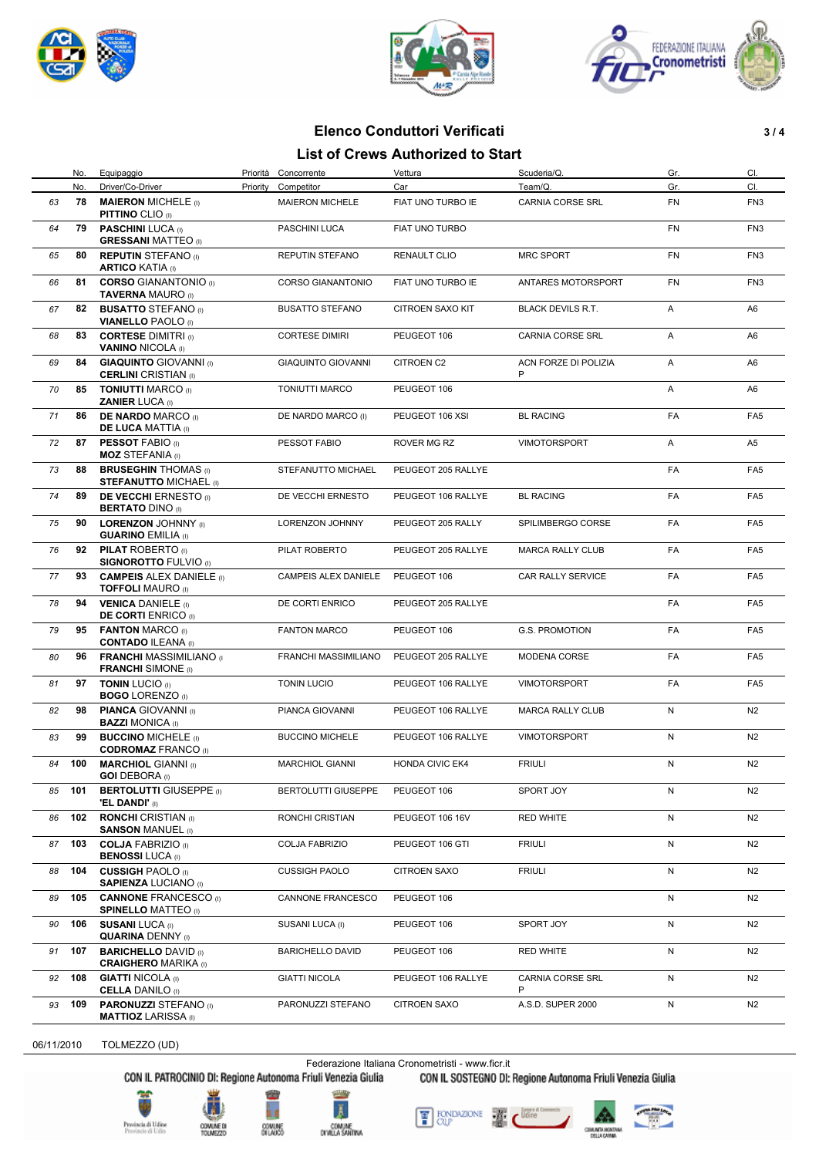





### **Elenco Conduttori Verificati 3 / 4**

# **List of Crews Authorized to Start**

|    | No. | Equipaggio                                                   |          | Priorità Concorrente       | Vettura                 | Scuderia/Q.               | Gr.       | CI.             |
|----|-----|--------------------------------------------------------------|----------|----------------------------|-------------------------|---------------------------|-----------|-----------------|
|    | No. | Driver/Co-Driver                                             | Priority | Competitor                 | Car                     | Team/Q.                   | Gr.       | CI.             |
| 63 | 78  | <b>MAIERON MICHELE (I)</b><br><b>PITTINO CLIO (I)</b>        |          | <b>MAIERON MICHELE</b>     | FIAT UNO TURBO IE       | CARNIA CORSE SRL          | FN        | FN <sub>3</sub> |
| 64 | 79  | <b>PASCHINI LUCA</b> (0)<br><b>GRESSANI MATTEO</b> (I)       |          | PASCHINI LUCA              | FIAT UNO TURBO          |                           | <b>FN</b> | FN3             |
| 65 | 80  | <b>REPUTIN STEFANO</b> (i)<br><b>ARTICO KATIA (I)</b>        |          | REPUTIN STEFANO            | <b>RENAULT CLIO</b>     | <b>MRC SPORT</b>          | FN        | FN <sub>3</sub> |
| 66 | 81  | <b>CORSO GIANANTONIO</b> (I)<br><b>TAVERNA MAURO</b> (I)     |          | <b>CORSO GIANANTONIO</b>   | FIAT UNO TURBO IE       | ANTARES MOTORSPORT        | FN        | FN <sub>3</sub> |
| 67 | 82  | <b>BUSATTO STEFANO</b> (i)<br><b>VIANELLO PAOLO</b> (I)      |          | <b>BUSATTO STEFANO</b>     | <b>CITROEN SAXO KIT</b> | <b>BLACK DEVILS R.T.</b>  | Α         | A6              |
| 68 | 83  | <b>CORTESE DIMITRI</b> (i)<br><b>VANINO NICOLA (I)</b>       |          | <b>CORTESE DIMIRI</b>      | PEUGEOT 106             | CARNIA CORSE SRL          | Α         | A6              |
| 69 | 84  | <b>GIAQUINTO GIOVANNI</b> (I)<br><b>CERLINI</b> CRISTIAN (I) |          | <b>GIAQUINTO GIOVANNI</b>  | CITROEN C2              | ACN FORZE DI POLIZIA<br>P | Α         | A6              |
| 70 | 85  | <b>TONIUTTI MARCO (I)</b><br><b>ZANIER LUCA (I)</b>          |          | <b>TONIUTTI MARCO</b>      | PEUGEOT 106             |                           | A         | A6              |
| 71 | 86  | <b>DE NARDO MARCO</b> (I)<br><b>DE LUCA MATTIA</b> (I)       |          | DE NARDO MARCO (I)         | PEUGEOT 106 XSI         | <b>BL RACING</b>          | FA        | FA <sub>5</sub> |
| 72 | 87  | <b>PESSOT FABIO (I)</b><br><b>MOZ STEFANIA</b> (I)           |          | PESSOT FABIO               | ROVER MG RZ             | <b>VIMOTORSPORT</b>       | Α         | A <sub>5</sub>  |
| 73 | 88  | <b>BRUSEGHIN THOMAS (I)</b><br><b>STEFANUTTO MICHAEL (I)</b> |          | STEFANUTTO MICHAEL         | PEUGEOT 205 RALLYE      |                           | FA        | FA <sub>5</sub> |
| 74 | 89  | <b>DE VECCHI ERNESTO</b> (I)<br><b>BERTATO DINO (I)</b>      |          | DE VECCHI ERNESTO          | PEUGEOT 106 RALLYE      | <b>BL RACING</b>          | FA        | FA <sub>5</sub> |
| 75 | 90  | <b>LORENZON JOHNNY</b> (I)<br><b>GUARINO EMILIA (I)</b>      |          | LORENZON JOHNNY            | PEUGEOT 205 RALLY       | SPILIMBERGO CORSE         | FA        | FA <sub>5</sub> |
| 76 | 92  | <b>PILAT ROBERTO</b> (I)<br><b>SIGNOROTTO FULVIO</b> (I)     |          | PILAT ROBERTO              | PEUGEOT 205 RALLYE      | <b>MARCA RALLY CLUB</b>   | FA        | FA <sub>5</sub> |
| 77 | 93  | <b>CAMPEIS ALEX DANIELE</b> (I)<br><b>TOFFOLI MAURO</b> (I)  |          | CAMPEIS ALEX DANIELE       | PEUGEOT 106             | CAR RALLY SERVICE         | FA        | FA <sub>5</sub> |
| 78 | 94  | <b>VENICA DANIELE</b> (I)<br><b>DE CORTI ENRICO</b> (I)      |          | DE CORTI ENRICO            | PEUGEOT 205 RALLYE      |                           | FA        | FA <sub>5</sub> |
| 79 | 95  | <b>FANTON MARCO (I)</b><br><b>CONTADO ILEANA (I)</b>         |          | <b>FANTON MARCO</b>        | PEUGEOT 106             | G.S. PROMOTION            | FA        | FA <sub>5</sub> |
| 80 | 96. | <b>FRANCHI MASSIMILIANO</b> (I)<br><b>FRANCHI</b> SIMONE (I) |          | FRANCHI MASSIMILIANO       | PEUGEOT 205 RALLYE      | <b>MODENA CORSE</b>       | FA        | FA <sub>5</sub> |
| 81 | 97  | <b>TONIN LUCIO</b> (I)<br><b>BOGO LORENZO</b> (I)            |          | <b>TONIN LUCIO</b>         | PEUGEOT 106 RALLYE      | <b>VIMOTORSPORT</b>       | FA        | FA <sub>5</sub> |
| 82 | 98  | <b>PIANCA GIOVANNI</b> (I)<br><b>BAZZI MONICA</b> (I)        |          | PIANCA GIOVANNI            | PEUGEOT 106 RALLYE      | <b>MARCA RALLY CLUB</b>   | N         | N2              |
| 83 | 99  | <b>BUCCINO MICHELE (i)</b><br><b>CODROMAZ FRANCO (I)</b>     |          | <b>BUCCINO MICHELE</b>     | PEUGEOT 106 RALLYE      | <b>VIMOTORSPORT</b>       | N         | N2              |
| 84 | 100 | <b>MARCHIOL GIANNI</b> (I)<br><b>GOI DEBORA</b> (I)          |          | <b>MARCHIOL GIANNI</b>     | <b>HONDA CIVIC EK4</b>  | <b>FRIULI</b>             | N         | N <sub>2</sub>  |
| 85 | 101 | <b>BERTOLUTTI GIUSEPPE (I)</b><br>'EL DANDI' (I)             |          | <b>BERTOLUTTI GIUSEPPE</b> | PEUGEOT 106             | SPORT JOY                 | N         | N <sub>2</sub>  |
| 86 | 102 | <b>RONCHI CRISTIAN</b> (i)<br><b>SANSON MANUEL (I)</b>       |          | RONCHI CRISTIAN            | PEUGEOT 106 16V         | <b>RED WHITE</b>          | N         | N <sub>2</sub>  |
| 87 | 103 | <b>COLJA FABRIZIO (i)</b><br><b>BENOSSI LUCA (I)</b>         |          | <b>COLJA FABRIZIO</b>      | PEUGEOT 106 GTI         | FRIULI                    | N         | N <sub>2</sub>  |
| 88 | 104 | <b>CUSSIGH PAOLO</b> (I)<br><b>SAPIENZA LUCIANO</b> (I)      |          | <b>CUSSIGH PAOLO</b>       | CITROEN SAXO            | <b>FRIULI</b>             | N         | N <sub>2</sub>  |
| 89 | 105 | <b>CANNONE FRANCESCO</b> (I)<br><b>SPINELLO MATTEO (I)</b>   |          | CANNONE FRANCESCO          | PEUGEOT 106             |                           | N         | N <sub>2</sub>  |
| 90 | 106 | <b>SUSANI LUCA (I)</b><br><b>QUARINA DENNY (I)</b>           |          | SUSANI LUCA (I)            | PEUGEOT 106             | SPORT JOY                 | N         | N <sub>2</sub>  |
| 91 | 107 | <b>BARICHELLO DAVID (I)</b><br><b>CRAIGHERO MARIKA (I)</b>   |          | <b>BARICHELLO DAVID</b>    | PEUGEOT 106             | <b>RED WHITE</b>          | N         | N <sub>2</sub>  |
| 92 | 108 | <b>GIATTI NICOLA</b> (I)<br><b>CELLA DANILO</b> (I)          |          | <b>GIATTI NICOLA</b>       | PEUGEOT 106 RALLYE      | CARNIA CORSE SRL<br>P     | N         | N <sub>2</sub>  |
| 93 | 109 | <b>PARONUZZI STEFANO</b> (I)<br><b>MATTIOZ LARISSA (I)</b>   |          | PARONUZZI STEFANO          | <b>CITROEN SAXO</b>     | A.S.D. SUPER 2000         | N         | N2              |

06/11/2010 TOLMEZZO (UD)

Federazione Italiana Cronometristi - www.ficr.it<br>CON IL PATROCINIO DI: Regione Autonoma Friuli Venezia Giulia CON IL SOSTEGNO DI:

CON IL SOSTEGNO DI: Regione Autonoma Friuli Venezia Giulia





COMUNE D







۷